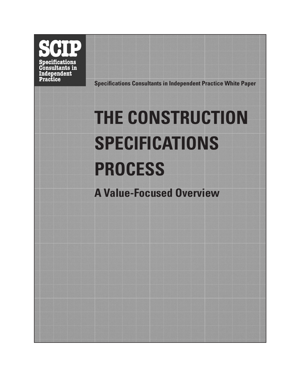**Specifications** Consultants in Independent **Practice** 

**Specifications Consultants in Independent Practice White Paper**

# **THE CONSTRUCTION SPECIFICATIONS PROCESS**

**A Value-Focused Overview**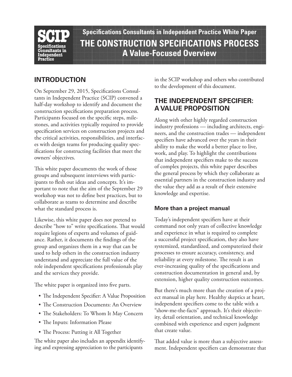

**Specifications Consultants in Independent Practice White Paper THE CONSTRUCTION SPECIFICATIONS PROCESS A Value-Focused Overview** 

# **INTRODUCTION**

On September 29, 2015, Specifications Consultants in Independent Practice (SCIP) convened a half-day workshop to identify and document the construction specifications preparation process. Participants focused on the specific steps, milestones, and activities typically required to provide specification services on construction projects and the critical activities, responsibilities, and interfaces with design teams for producing quality specifications for constructing facilities that meet the owners' objectives.

This white paper documents the work of those groups and subsequent interviews with participants to flesh out ideas and concepts. It's important to note that the aim of the September 29 workshop was not to define best practices, but to collaborate as teams to determine and describe what the standard process is.

Likewise, this white paper does not pretend to describe "how to" write specifications. That would require legions of experts and volumes of guidance. Rather, it documents the findings of the group and organizes them in a way that can be used to help others in the construction industry understand and appreciate the full value of the role independent specifications professionals play and the services they provide.

The white paper is organized into five parts.

- The Independent Specifier: A Value Proposition
- The Construction Documents: An Overview
- The Stakeholders: To Whom It May Concern
- The Inputs: Information Please
- The Process: Putting it All Together

The white paper also includes an appendix identifying and expressing appreciation to the participants

in the SCIP workshop and others who contributed to the development of this document.

# **THE INDEPENDENT SPECIFIER: A VALUE PROPOSITION**

Along with other highly regarded construction industry professions — including architects, engineers, and the construction trades — independent specifiers have advanced over the years in their ability to make the world a better place to live, work, and play. To highlight the contributions that independent specifiers make to the success of complex projects, this white paper describes the general process by which they collaborate as essential partners in the construction industry and the value they add as a result of their extensive knowledge and expertise.

# **More than a project manual**

Today's independent specifiers have at their command not only years of collective knowledge and experience in what is required to complete a successful project specification, they also have systemized, standardized, and computerized their processes to ensure accuracy, consistency, and reliability at every milestone. The result is an ever-increasing quality of the specifications and construction documentation in general and, by extension, higher quality construction outcomes.

But there's much more than the creation of a project manual in play here. Healthy skeptics at heart, independent specifiers come to the table with a "show-me-the-facts" approach. It's their objectivity, detail orientation, and technical knowledge combined with experience and expert judgment that create value.

That added value is more than a subjective assessment. Independent specifiers can demonstrate that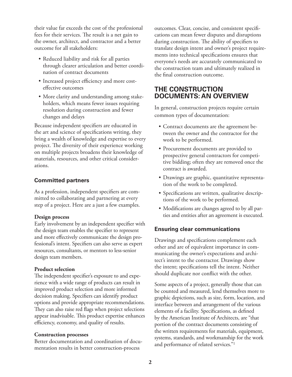their value far exceeds the cost of the professional fees for their services. The result is a net gain to the owner, architect, and contractor and a better outcome for all stakeholders:

- Reduced liability and risk for all parties through clearer articulation and better coordination of contract documents
- • Increased project efficiency and more costeffective outcomes
- More clarity and understanding among stakeholders, which means fewer issues requiring resolution during construction and fewer changes and delays

Because independent specifiers are educated in the art and science of specifications writing, they bring a wealth of knowledge and expertise to every project. The diversity of their experience working on multiple projects broadens their knowledge of materials, resources, and other critical considerations.

# **Committed partners**

As a profession, independent specifiers are committed to collaborating and partnering at every step of a project. Here are a just a few examples.

## **Design process**

Early involvement by an independent specifier with the design team enables the specifier to represent and more effectively communicate the design professional's intent. Specifiers can also serve as expert resources, consultants, or mentors to less-senior design team members.

## **Product selection**

The independent specifier's exposure to and experience with a wide range of products can result in improved product selection and more informed decision making. Specifiers can identify product options and provide appropriate recommendations. They can also raise red flags when project selections appear inadvisable. This product expertise enhances efficiency, economy, and quality of results.

## **Construction processes**

Better documentation and coordination of documentation results in better construction-process

outcomes. Clear, concise, and consistent specifications can mean fewer disputes and disruptions during construction. The ability of specifiers to translate design intent and owner's project requirements into technical specifications ensures that everyone's needs are accurately communicated to the construction team and ultimately realized in the final construction outcome.

# **THE CONSTRUCTION DOCUMENTS: AN OVERVIEW**

In general, construction projects require certain common types of documentation:

- Contract documents are the agreement between the owner and the contractor for the work to be performed.
- Procurement documents are provided to prospective general contractors for competitive bidding; often they are removed once the contract is awarded.
- • Drawings are graphic, quantitative representation of the work to be completed.
- Specifications are written, qualitative descriptions of the work to be performed.
- Modifications are changes agreed to by all parties and entities after an agreement is executed.

# **Ensuring clear communications**

Drawings and specifications complement each other and are of equivalent importance in communicating the owner's expectations and architect's intent to the contractor. Drawings show the intent; specifications tell the intent. Neither should duplicate nor conflict with the other.

Some aspects of a project, generally those that can be counted and measured, lend themselves more to graphic depictions, such as size, form, location, and interface between and arrangement of the various elements of a facility. Specifications, as defined by the American Institute of Architects, are "that portion of the contract documents consisting of the written requirements for materials, equipment, systems, standards, and workmanship for the work and performance of related services."1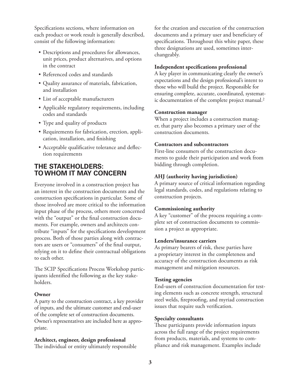Specifications sections, where information on each product or work result is generally described, consist of the following information:

- Descriptions and procedures for allowances, unit prices, product alternatives, and options in the contract
- Referenced codes and standards
- • Quality assurance of materials, fabrication, and installation
- • List of acceptable manufacturers
- Applicable regulatory requirements, including codes and standards
- Type and quality of products
- • Requirements for fabrication, erection, application, installation, and finishing
- Acceptable qualificative tolerance and deflection requirements

# **THE STAKEHOLDERS: TO WHOM IT MAY CONCERN**

Everyone involved in a construction project has an interest in the construction documents and the construction specifications in particular. Some of those involved are more critical to the information input phase of the process, others more concerned with the "output" or the final construction documents. For example, owners and architects contribute "inputs" for the specifications development process. Both of those parties along with contractors are users or "consumers" of the final output, relying on it to define their contractual obligations to each other.

The SCIP Specifications Process Workshop participants identified the following as the key stakeholders.

# **Owner**

A party to the construction contract, a key provider of inputs, and the ultimate customer and end-user of the complete set of construction documents. Owner's representatives are included here as appropriate.

# **Architect, engineer, design professional**

The individual or entity ultimately responsible

for the creation and execution of the construction documents and a primary user and beneficiary of specifications. Throughout this white paper, these three designations are used, sometimes interchangeably.

# **Independent specifications professional**

A key player in communicating clearly the owner's expectations and the design professional's intent to those who will build the project. Responsible for ensuring complete, accurate, coordinated, systematic documentation of the complete project manual.2

# **Construction manager**

When a project includes a construction manager, that party also becomes a primary user of the construction documents.

# **Contractors and subcontractors**

First-line consumers of the construction documents to guide their participation and work from bidding through completion.

# **AHJ (authority having jurisdiction)**

A primary source of critical information regarding legal standards, codes, and regulations relating to construction projects.

# **Commissioning authority**

A key "customer" of the process requiring a complete set of construction documents to commission a project as appropriate.

# **Lenders/insurance carriers**

As primary bearers of risk, these parties have a proprietary interest in the completeness and accuracy of the construction documents as risk management and mitigation resources.

# **Testing agencies**

End-users of construction documentation for testing elements such as concrete strength, structural steel welds, fireproofing, and myriad construction issues that require such verification.

# **Specialty consultants**

These participants provide information inputs across the full range of the project requirements from products, materials, and systems to compliance and risk management. Examples include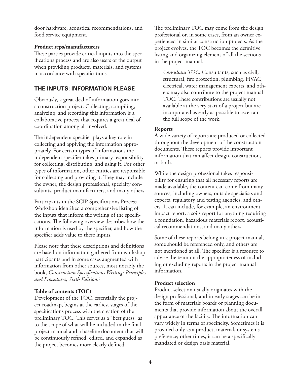door hardware, acoustical recommendations, and food service equipment.

# **Product reps/manufacturers**

These parties provide critical inputs into the specifications process and are also users of the output when providing products, materials, and systems in accordance with specifications.

# **THE INPUTS: INFORMATION PLEASE**

Obviously, a great deal of information goes into a construction project. Collecting, compiling, analyzing, and recording this information is a collaborative process that requires a great deal of coordination among all involved.

The independent specifier plays a key role in collecting and applying the information appropriately. For certain types of information, the independent specifier takes primary responsibility for collecting, distributing, and using it. For other types of information, other entities are responsible for collecting and providing it. They may include the owner, the design professional, specialty consultants, product manufacturers, and many others.

Participants in the SCIP Specifications Process Workshop identified a comprehensive listing of the inputs that inform the writing of the specifications. The following overview describes how the information is used by the specifier, and how the specifier adds value to these inputs.

Please note that these descriptions and definitions are based on information gathered from workshop participants and in some cases augmented with information from other sources, most notably the book, *Construction Specifications Writing: Principles and Procedures, Sixth Edition.*<sup>3</sup>

# **Table of contents (TOC)**

Development of the TOC, essentially the project roadmap, begins at the earliest stages of the specifications process with the creation of the preliminary TOC. This serves as a "best guess" as to the scope of what will be included in the final project manual and a baseline document that will be continuously refined, edited, and expanded as the project becomes more clearly defined.

The preliminary TOC may come from the design professional or, in some cases, from an owner experienced in similar construction projects. As the project evolves, the TOC becomes the definitive listing and organizing element of all the sections in the project manual.

*Consultant TOC:* Consultants, such as civil, structural, fire protection, plumbing, HVAC, electrical, water management experts, and others may also contribute to the project manual TOC. These contributions are usually not available at the very start of a project but are incorporated as early as possible to ascertain the full scope of the work.

# **Reports**

A wide variety of reports are produced or collected throughout the development of the construction documents. These reports provide important information that can affect design, construction, or both.

While the design professional takes responsibility for ensuring that all necessary reports are made available, the content can come from many sources, including owners, outside specialists and experts, regulatory and testing agencies, and others. It can include, for example, an environment impact report, a soils report for anything requiring a foundation, hazardous materials report, acoustical recommendations, and many others.

Some of these reports belong in a project manual, some should be referenced only, and others are not mentioned at all. The specifier is a resource to advise the team on the appropriateness of including or excluding reports in the project manual information.

# **Product selection**

Product selection usually originates with the design professional, and in early stages can be in the form of materials boards or planning documents that provide information about the overall appearance of the facility. The information can vary widely in terms of specificity. Sometimes it is provided only as a product, material, or systems preference; other times, it can be a specifically mandated or design basis material.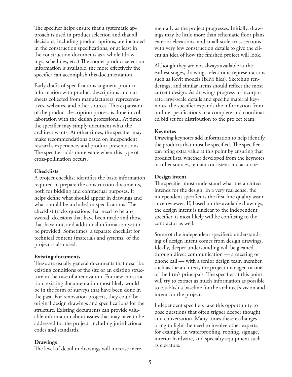The specifier helps ensure that a systematic approach is used in product selection and that all decisions, including product options, are included in the construction specifications, or at least in the construction documents as a whole (drawings, schedules, etc.) The sooner product selection information is available, the more effectively the specifier can accomplish this documentation.

Early drafts of specifications augment product information with product descriptions and cut sheets collected from manufacturers' representatives, websites, and other sources. This expansion of the product description process is done in collaboration with the design professional. At times, the specifier may simply document what the architect wants. At other times, the specifier may make recommendations based on independent research, experience, and product presentations. The specifier adds more value when this type of cross-pollination occurs.

#### **Checklists**

A project checklist identifies the basic information required to prepare the construction documents, both for bidding and contractual purposes. It helps define what should appear in drawings and what should be included in specifications. The checklist tracks questions that need to be answered, decisions that have been made and those that have not, and additional information yet to be provided. Sometimes, a separate checklist for technical content (materials and systems) of the project is also used.

## **Existing documents**

These are usually general documents that describe existing conditions of the site or an existing structure in the case of a renovation. For new construction, existing documentation most likely would be in the form of surveys that have been done in the past. For renovation projects, they could be original design drawings and specifications for the structure. Existing documents can provide valuable information about issues that may have to be addressed for the project, including jurisdictional codes and standards.

## **Drawings**

The level of detail in drawings will increase incre-

mentally as the project progresses. Initially, drawings may be little more than schematic floor plans, exterior elevations, and small-scale cross sections with very few construction details to give the client an idea of how the finished project will look.

Although they are not always available at the earliest stages, drawings, electronic representations such as Revit models (BIM files), Sketchup renderings, and similar items should reflect the most current design. As drawings progress to incorporate large-scale details and specific material keynotes, the specifier expands the information from outline specifications to a complete and coordinated bid set for distribution to the project team.

## **Keynotes**

Drawing keynotes add information to help identify the products that must be specified. The specifier can bring extra value at this point by ensuring that product lists, whether developed from the keynotes or other sources, remain consistent and accurate.

## **Design intent**

The specifier must understand what the architect intends for the design. In a very real sense, the independent specifier is the first-line quality assurance reviewer. If, based on the available drawings, the design intent is unclear to the independent specifier, it most likely will be confusing to the contractor as well.

Some of the independent specifier's understanding of design intent comes from design drawings. Ideally, deeper understanding will be gleaned through direct communication — a meeting or phone call — with a senior design team member, such as the architect, the project manager, or one of the firm's principals. The specifier at this point will try to extract as much information as possible to establish a baseline for the architect's vision and intent for the project.

Independent specifiers take this opportunity to pose questions that often trigger deeper thought and conversation. Many times these exchanges bring to light the need to involve other experts, for example, in waterproofing, roofing, signage, interior hardware, and specialty equipment such as elevators.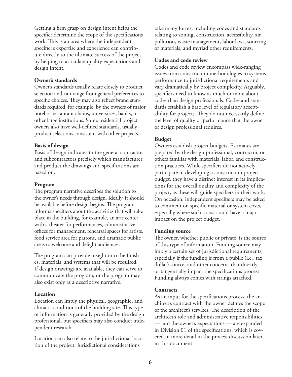Getting a firm grasp on design intent helps the specifier determine the scope of the specifications work. This is an area where the independent specifier's expertise and experience can contribute directly to the ultimate success of the project by helping to articulate quality expectations and design intent.

## **Owner's standards**

Owner's standards usually relate closely to product selection and can range from general preferences to specific choices. They may also reflect brand standards required, for example, by the owners of major hotel or restaurant chains, universities, banks, or other large institutions. Some residential project owners also have well-defined standards, usually product selections consistent with other projects.

## **Basis of design**

Basis of design indicates to the general contractor and subcontractors precisely which manufacturer and product the drawings and specifications are based on.

# **Program**

The program narrative describes the solution to the owner's needs through design. Ideally, it should be available before design begins. The program informs specifiers about the activities that will take place in the building, for example, an arts center with a theater for performances, administrative offices for management, rehearsal spaces for artists, food service area for patrons, and dramatic public areas to welcome and delight audiences.

The program can provide insight into the finishes, materials, and systems that will be required. If design drawings are available, they can serve to communicate the program, or the program may also exist only as a descriptive narrative.

# **Location**

Location can imply the physical, geographic, and climatic conditions of the building site. This type of information is generally provided by the design professional, but specifiers may also conduct independent research.

Location can also relate to the jurisdictional location of the project. Jurisdictional considerations

take many forms, including codes and standards relating to zoning, construction, accessibility, air pollution, waste management, labor laws, sourcing of materials, and myriad other requirements.

## **Codes and code review**

Codes and code review encompass wide-ranging issues from construction methodologies to systems performance to jurisdictional requirements and vary dramatically by project complexity. Arguably, specifiers need to know as much or more about codes than design professionals. Codes and standards establish a base level of regulatory acceptability for projects. They do not necessarily define the level of quality or performance that the owner or design professional requires.

# **Budget**

Owners establish project budgets. Estimates are prepared by the design professional, contractor, or others familiar with materials, labor, and construction practices. While specifiers do not actively participate in developing a construction project budget, they have a distinct interest in its implications for the overall quality and complexity of the project, as these will guide specifiers in their work. On occasion, independent specifiers may be asked to comment on specific material or system costs, especially where such a cost could have a major impact on the project budget.

# **Funding source**

The owner, whether public or private, is the source of this type of information. Funding source may imply a certain set of jurisdictional requirements, especially if the funding is from a public (i.e., tax dollar) source, and other concerns that directly or tangentially impact the specifications process. Funding always comes with strings attached.

# **Contracts**

As an input for the specifications process, the architect's contract with the owner defines the scope of the architect's services. The description of the architect's role and administrative responsibilities — and the owner's expectations — are expanded in Division 01 of the specifications, which is covered in more detail in the process discussion later in this document.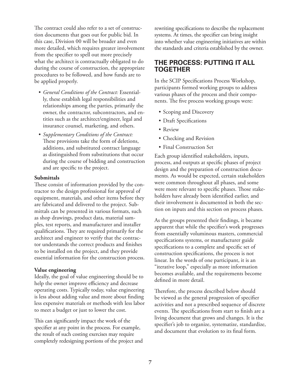The contract could also refer to a set of construction documents that goes out for public bid. In this case, Division 00 will be broader and even more detailed, which requires greater involvement from the specifier to spell out more precisely what the architect is contractually obligated to do during the course of construction, the appropriate procedures to be followed, and how funds are to be applied properly.

- • *General Conditions of the Contract:* Essentially, these establish legal responsibilities and relationships among the parties, primarily the owner, the contractor, subcontractors, and entities such as the architect/engineer, legal and insurance counsel, marketing, and others.
- • *Supplementary Conditions of the Contract:*  These provisions take the form of deletions, additions, and substituted contract language as distinguished from substitutions that occur during the course of bidding and construction and are specific to the project.

## **Submittals**

These consist of information provided by the contractor to the design professional for approval of equipment, materials, and other items before they are fabricated and delivered to the project. Submittals can be presented in various formats, such as shop drawings, product data, material samples, test reports, and manufacturer and installer qualifications. They are required primarily for the architect and engineer to verify that the contractor understands the correct products and finishes to be installed on the project, and they provide essential information for the construction process.

## **Value engineering**

Ideally, the goal of value engineering should be to help the owner improve efficiency and decrease operating costs. Typically today, value engineering is less about adding value and more about finding less expensive materials or methods with less labor to meet a budget or just to lower the cost.

This can significantly impact the work of the specifier at any point in the process. For example, the result of such costing exercises may require completely redesigning portions of the project and rewriting specifications to describe the replacement systems. At times, the specifier can bring insight into whether value engineering initiatives are within the standards and criteria established by the owner.

# **THE PROCESS: PUTTING IT ALL TOGETHER**

In the SCIP Specifications Process Workshop, participants formed working groups to address various phases of the process and their components. The five process working groups were:

- Scoping and Discovery
- Draft Specifications
- Review
- Checking and Revision
- Final Construction Set

Each group identified stakeholders, inputs, process, and outputs at specific phases of project design and the preparation of construction documents. As would be expected, certain stakeholders were common throughout all phases, and some were more relevant to specific phases. Those stakeholders have already been identified earlier, and their involvement is documented in both the section on inputs and this section on process phases.

As the groups presented their findings, it became apparent that while the specifier's work progresses from essentially voluminous masters, commercial specifications systems, or manufacturer guide specifications to a complete and specific set of construction specifications, the process is not linear. In the words of one participant, it is an "iterative loop," especially as more information becomes available, and the requirements become defined in more detail.

Therefore, the process described below should be viewed as the general progression of specifier activities and not a prescribed sequence of discrete events. The specifications from start to finish are a living document that grows and changes. It is the specifier's job to organize, systematize, standardize, and document that evolution to its final form.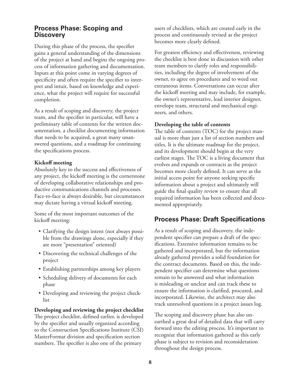# **Process Phase: Scoping and Discovery**

During this phase of the process, the specifier gains a general understanding of the dimensions of the project at hand and begins the ongoing process of information gathering and documentation. Inputs at this point come in varying degrees of specificity and often require the specifier to interpret and intuit, based on knowledge and experience, what the project will require for successful completion.

As a result of scoping and discovery, the project team, and the specifier in particular, will have a preliminary table of contents for the written documentation, a checklist documenting information that needs to be acquired, a great many unanswered questions, and a roadmap for continuing the specifications process.

## **Kickoff meeting**

Absolutely key to the success and effectiveness of any project, the kickoff meeting is the cornerstone of developing collaborative relationships and productive communications channels and processes. Face-to-face is always desirable, but circumstances may dictate having a virtual kickoff meeting.

Some of the most important outcomes of the kickoff meeting:

- • Clarifying the design intent (not always possible from the drawings alone, especially if they are more "presentation" oriented)
- • Discovering the technical challenges of the project
- Establishing partnerships among key players
- Scheduling delivery of documents for each phase
- Developing and reviewing the project checklist

# **Developing and reviewing the project checklist**

The project checklist, defined earlier, is developed by the specifier and usually organized according to the Construction Specifications Institute (CSI) MasterFormat division and specification section numbers. The specifier is also one of the primary

users of checklists, which are created early in the process and continuously revised as the project becomes more clearly defined.

For greatest efficiency and effectiveness, reviewing the checklist is best done in discussion with other team members to clarify roles and responsibilities, including the degree of involvement of the owner, to agree on procedures and to weed out extraneous items. Conversations can occur after the kickoff meeting and may include, for example, the owner's representative, lead interior designer, envelope team, structural and mechanical engineers, and others.

## **Developing the table of contents**

The table of contents (TOC) for the project manual is more than just a list of section numbers and titles. It is the ultimate roadmap for the project, and its development should begin at the very earliest stages. The TOC is a living document that evolves and expands or contracts as the project becomes more clearly defined. It can serve as the initial access point for anyone seeking specific information about a project and ultimately will guide the final quality review to ensure that all required information has been collected and documented appropriately.

# **Process Phase: Draft Specifications**

As a result of scoping and discovery, the independent specifier can prepare a draft of the specifications. Extensive information remains to be gathered and incorporated, but the information already gathered provides a solid foundation for the contract documents. Based on this, the independent specifier can determine what questions remain to be answered and what information is misleading or unclear and can track these to ensure the information is clarified, procured, and incorporated. Likewise, the architect may also track unresolved questions in a project issues log.

The scoping and discovery phase has also unearthed a great deal of detailed data that will carry forward into the editing process. It's important to recognize that information gathered as this early phase is subject to revision and reconsideration throughout the design process.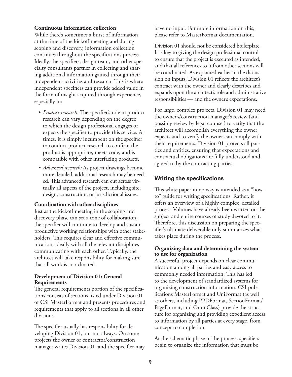#### **Continuous information collection**

While there's sometimes a burst of information at the time of the kickoff meeting and during scoping and discovery, information collection continues throughout the specifications process. Ideally, the specifiers, design team, and other specialty consultants partner in collecting and sharing additional information gained through their independent activities and research. This is where independent specifiers can provide added value in the form of insight acquired through experience, especially in:

- *Product research:* The specifier's role in product research can vary depending on the degree to which the design professional engages or expects the specifier to provide this service. At times, it is simply incumbent on the specifier to conduct product research to confirm the product is appropriate, meets code, and is compatible with other interfacing products.
- *Advanced research:* As project drawings become more detailed, additional research may be needed. This advanced research can cut across virtually all aspects of the project, including site, design, construction, or jurisdictional issues.

#### **Coordination with other disciplines**

Just as the kickoff meeting in the scoping and discovery phase can set a tone of collaboration, the specifier will continue to develop and sustain productive working relationships with other stakeholders. This requires clear and effective communication, ideally with all the relevant disciplines communicating with each other. Typically, the architect will take responsibility for making sure that all work is coordinated.

#### **Development of Division 01: General Requirements**

The general requirements portion of the specifications consists of sections listed under Division 01 of CSI MasterFormat and presents procedures and requirements that apply to all sections in all other divisions.

The specifier usually has responsibility for developing Division 01, but not always. On some projects the owner or contractor/construction manager writes Division 01, and the specifier may have no input. For more information on this, please refer to MasterFormat documentation.

Division 01 should not be considered boilerplate. It is key to giving the design professional control to ensure that the project is executed as intended, and that all references to it from other sections will be coordinated. As explained earlier in the discussion on inputs, Division 01 reflects the architect's contract with the owner and clearly describes and expands upon the architect's role and administrative responsibilities — and the owner's expectations.

For large, complex projects, Division 01 may need the owner's/construction manager's review (and possibly review by legal counsel) to verify that the architect will accomplish everything the owner expects and to verify the owner can comply with their requirements. Division 01 protects all parties and entities, ensuring that expectations and contractual obligations are fully understood and agreed to by the contracting parties.

# **Writing the specifications**

This white paper in no way is intended as a "howto" guide for writing specifications. Rather, it offers an overview of a highly complex, detailed process. Volumes have already been written on the subject and entire courses of study devoted to it. Therefore, this discussion on preparing the specifier's ultimate deliverable only summarizes what takes place during the process.

#### **Organizing data and determining the system to use for organization**

A successful project depends on clear communication among all parties and easy access to commonly needed information. This has led to the development of standardized systems for organizing construction information. CSI publications MasterFormat and UniFormat (as well as others, including PPDFormat, SectionFormat/ PageFormat, and OmniClass) provide the structure for organizing and providing expedient access to information by all parties at every stage, from concept to completion.

At the schematic phase of the process, specifiers begin to organize the information that must be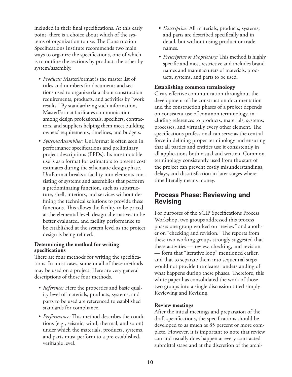included in their final specifications. At this early point, there is a choice about which of the systems of organization to use. The Construction Specifications Institute recommends two main ways to organize the specifications, one of which is to outline the sections by product, the other by system/assembly.

- *Products:* MasterFormat is the master list of titles and numbers for documents and sections used to organize data about construction requirements, products, and activities by "work results." By standardizing such information, MasterFormat facilitates communication among design professionals, specifiers, contractors, and suppliers helping them meet building owners' requirements, timelines, and budgets.
- • *Systems/Assemblies:* UniFormat is often seen in performance specifications and preliminary project descriptions (PPDs). Its most notable use is as a format for estimators to present cost estimates during the schematic design phase. UniFormat breaks a facility into elements consisting of systems and assemblies that perform a predominating function, such as substructure, shell, interiors, and services without defining the technical solutions to provide these functions. This allows the facility to be priced at the elemental level, design alternatives to be better evaluated, and facility performance to be established at the system level as the project design is being refined.

## **Determining the method for writing specifications**

There are four methods for writing the specifications. In most cases, some or all of these methods may be used on a project. Here are very general descriptions of those four methods.

- *Reference:* Here the properties and basic quality level of materials, products, systems, and parts to be used are referenced to established standards for compliance.
- *Performance:* This method describes the conditions (e.g., seismic, wind, thermal, and so on) under which the materials, products, systems, and parts must perform to a pre-established, verifiable level.
- • *Descriptive:* All materials, products, systems, and parts are described specifically and in detail, but without using product or trade names.
- • *Prescriptive or Proprietary:* This method is highly specific and most restrictive and includes brand names and manufacturers of materials, products, systems, and parts to be used.

## **Establishing common terminology**

Clear, effective communication throughout the development of the construction documentation and the construction phases of a project depends on consistent use of common terminology, including references to products, materials, systems, processes, and virtually every other element. The specifications professional can serve as the central force in defining proper terminology and ensuring that all parties and entities use it consistently in all applications both visual and written. Common terminology consistently used from the start of the project can prevent costly misunderstandings, delays, and dissatisfaction in later stages where time literally means money.

# **Process Phase: Reviewing and Revising**

For purposes of the SCIP Specifications Process Workshop, two groups addressed this process phase: one group worked on "review" and another on "checking and revision." The reports from these two working groups strongly suggested that these activities — review, checking, and revision — form that "iterative loop" mentioned earlier, and that to separate them into sequential steps would not provide the clearest understanding of what happens during these phases. Therefore, this white paper has consolidated the work of those two groups into a single discussion titled simply Reviewing and Revising.

## **Review meetings**

After the initial meetings and preparation of the draft specifications, the specifications should be developed to as much as 85 percent or more complete. However, it is important to note that review can and usually does happen at every contracted submittal stage and at the discretion of the archi-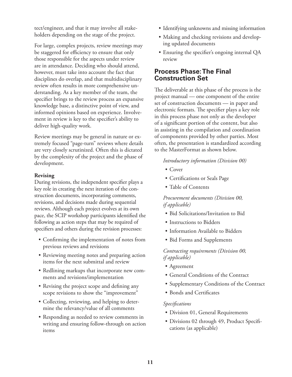tect/engineer, and that it may involve all stakeholders depending on the stage of the project.

For large, complex projects, review meetings may be staggered for efficiency to ensure that only those responsible for the aspects under review are in attendance. Deciding who should attend, however, must take into account the fact that disciplines do overlap, and that multidisciplinary review often results in more comprehensive understanding. As a key member of the team, the specifier brings to the review process an expansive knowledge base, a distinctive point of view, and informed opinions based on experience. Involvement in review is key to the specifier's ability to deliver high-quality work.

Review meetings may be general in nature or extremely focused "page-turn" reviews where details are very closely scrutinized. Often this is dictated by the complexity of the project and the phase of development.

## **Revising**

During revisions, the independent specifier plays a key role in creating the next iteration of the construction documents, incorporating comments, revisions, and decisions made during sequential reviews. Although each project evolves at its own pace, the SCIP workshop participants identified the following as action steps that may be required of specifiers and others during the revision processes:

- Confirming the implementation of notes from previous reviews and revisions
- Reviewing meeting notes and preparing action items for the next submittal and review
- Redlining markups that incorporate new comments and revisions/implementation
- Revising the project scope and defining any scope revisions to show the "improvement"
- Collecting, reviewing, and helping to determine the relevancy/value of all comments
- Responding as needed to review comments in writing and ensuring follow-through on action items
- Identifying unknowns and missing information
- Making and checking revisions and developing updated documents
- Ensuring the specifier's ongoing internal QA review

# **Process Phase: The Final Construction Set**

The deliverable at this phase of the process is the project manual — one component of the entire set of construction documents — in paper and electronic formats. The specifier plays a key role in this process phase not only as the developer of a significant portion of the content, but also in assisting in the compilation and coordination of components provided by other parties. Most often, the presentation is standardized according to the MasterFormat as shown below.

## *Introductory information (Division 00)*

- Cover
- • Certifications or Seals Page
- Table of Contents

*Procurement documents (Division 00, if applicable)*

- Bid Solicitations/Invitation to Bid
- Instructions to Bidders
- Information Available to Bidders
- Bid Forms and Supplements

*Contracting requirements (Division 00, if applicable)*

- • Agreement
- General Conditions of the Contract
- Supplementary Conditions of the Contract
- • Bonds and Certificates

# *Specifications*

- Division 01, General Requirements
- Divisions 02 through 49, Product Specifications (as applicable)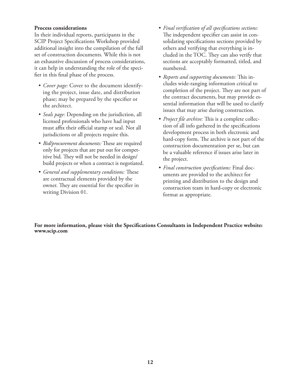#### **Process considerations**

In their individual reports, participants in the SCIP Project Specifications Workshop provided additional insight into the compilation of the full set of construction documents. While this is not an exhaustive discussion of process considerations, it can help in understanding the role of the specifier in this final phase of the process.

- • *Cover page:* Cover to the document identifying the project, issue date, and distribution phase; may be prepared by the specifier or the architect.
- • *Seals page:* Depending on the jurisdiction, all licensed professionals who have had input must affix their official stamp or seal. Not all jurisdictions or all projects require this.
- *Bid/procurement documents:* These are required only for projects that are put out for competitive bid. They will not be needed in design/ build projects or when a contract is negotiated.
- • *General and supplementary conditions:* These are contractual elements provided by the owner. They are essential for the specifier in writing Division 01.
- • *Final verification of all specifications sections:* The independent specifier can assist in consolidating specifications sections provided by others and verifying that everything is included in the TOC. They can also verify that sections are acceptably formatted, titled, and numbered.
- • *Reports and supporting documents:* This includes wide-ranging information critical to completion of the project. They are not part of the contract documents, but may provide essential information that will be used to clarify issues that may arise during construction.
- *Project file archive:* This is a complete collection of all info gathered in the specifications development process in both electronic and hard-copy form. The archive is not part of the construction documentation per se, but can be a valuable reference if issues arise later in the project.
- • *Final construction specifications:* Final documents are provided to the architect for printing and distribution to the design and construction team in hard-copy or electronic format as appropriate.

**For more information, please visit the Specifications Consultants in Independent Practice website: www.scip.com**